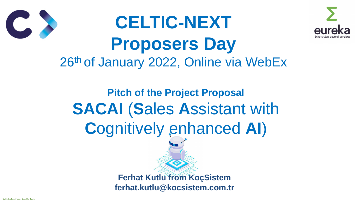



# **Pitch of the Project Proposal SACAI** (**S**ales **A**ssistant with **C**ognitively enhanced **AI**)

# **CELTIC-NEXT Proposers Day** 26th of January 2022, Online via WebEx

**Ferhat Kutlu from KoçSistem ferhat.kutlu@kocsistem.com.tr**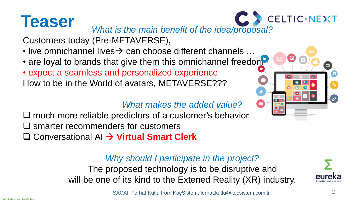# **Teaser**









Customers today (Pre-METAVERSE),

- 
- 
- 
- live omnichannel lives→ can choose different channels ... • are loyal to brands that give them this omnichannel freedom • expect a seamless and personalized experience How to be in the World of avatars, METAVERSE???

*Why should I participate in the project?* The proposed technology is to be disruptive and will be one of its kind to the Extened Reality (XR) industry.

*What makes the added value?*

❑ much more reliable predictors of a customer's behavior ❑ smarter recommenders for customers ❑ Conversational AI → **Virtual Smart Clerk**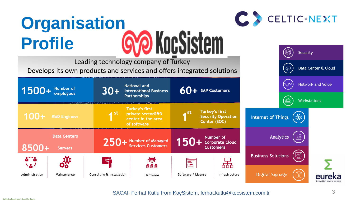





# **Organisation<br>Profile 600 KocSistem Profile**

Leading technology company of Turkey

Develops its own products and services and offers integrated solutions

|                                                | $1500 +$ Number of       |  | $30+$                     | <b>National and</b><br><b>International Business</b><br><b>Partnerships</b>     |
|------------------------------------------------|--------------------------|--|---------------------------|---------------------------------------------------------------------------------|
|                                                | $100+$ R&D Engineer      |  | <b>TSC</b>                | <b>Turkey's first</b><br>private sectorR&D<br>center in the area<br>of software |
| <b>Data Centers</b><br>8500+<br><b>Servers</b> |                          |  |                           |                                                                                 |
|                                                |                          |  | 250+ Number of Managed    |                                                                                 |
| ◟◬ノ<br>Administration                          | <b>QO</b><br>Maintenance |  | Consulting & Installation | <b>台 台 台</b><br>Hardware                                                        |
|                                                |                          |  |                           |                                                                                 |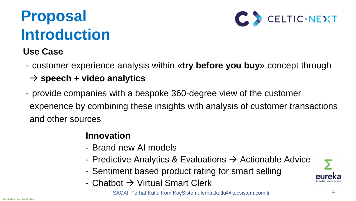

# **Proposal Introduction**

4

## **Innovation**

- Predictive Analytics & Evaluations  $\rightarrow$  Actionable Advice - Sentiment based product rating for smart selling



- Brand new AI models
- 
- 
- Chatbot → Virtual Smart Clerk

## **Use Case**

## - customer experience analysis within «**try before you buy**» concept through

- → **speech + video analytics**
- provide companies with a bespoke 360-degree view of the customer and other sources

experience by combining these insights with analysis of customer transactions

SACAI, Ferhat Kutlu from KoçSistem, ferhat.kutlu@kocsistem.com.tr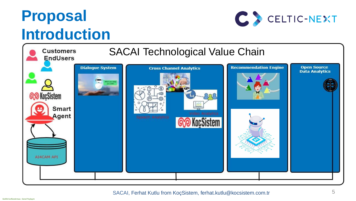





# **Proposal Introduction**



### SACAI, Ferhat Kutlu from KoçSistem, ferhat.kutlu@kocsistem.com.tr 5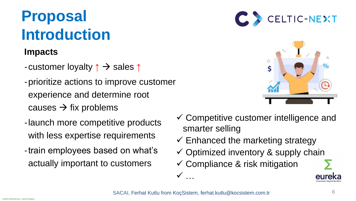



# **Proposal Introduction**

6

### **Impacts**

- -customer loyalty **↑** → sales **↑**
- -prioritize actions to improve customer experience and determine root  $causes \rightarrow fix problems$
- -launch more competitive products with less expertise requirements
- -train employees based on what's actually important to customers
- ✓ Competitive customer intelligence and smarter selling
- $\checkmark$  Enhanced the marketing strategy
- ✓ Optimized inventory & supply chain
- ✓ Compliance & risk mitigation

✓

…



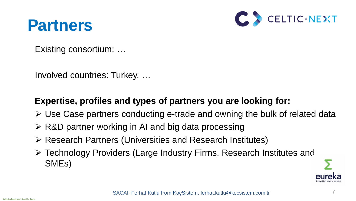



## **Partners**

## Existing consortium: …

Involved countries: Turkey, …

## **Expertise, profiles and types of partners you are looking for:**

- ➢ Use Case partners conducting e-trade and owning the bulk of related data
- ➢ R&D partner working in AI and big data processing
- ➢ Research Partners (Universities and Research Institutes)
- ➢ Technology Providers (Large Industry Firms, Research Institutes and SMEs)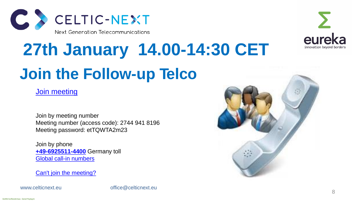





# **Join the Follow-up Telco 27th January 14.00-14:30 CET**

[Join meeting](https://eurescom-meetings.webex.com/eurescom-meetings/j.php?MTID=m13c6be938f1be756cc2794a14afe12cb)

Join by meeting number Meeting number (access code): 2744 941 8196 Meeting password: etTQWTA2m23

Join by phone **[+49-6925511-4400](tel:+49-6925511-4400,,*01*955071414##*01*)** Germany toll [Global call-in numbers](https://eurescom.webex.com/eurescom/globalcallin.php?serviceType=MC&ED=697732507&tollFree=0)

[Can't join the meeting?](https://collaborationhelp.cisco.com/article/WBX000029055)

www.celticnext.eu office@celticnext.eu